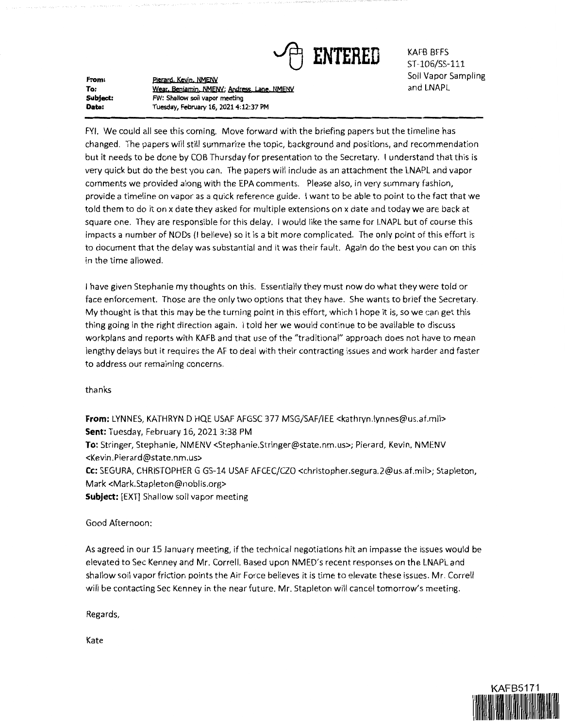

KAFB BFFS ST-106/SS-111 Soil Vapor Sampling and LNAPL

**From: To: Subject: Date:**  Pierard, Kevin, NMENV Wear, Benjamin, NMENV; Andress, Lane, NMENV FW: Shallow soil vapor meeting Tuesday, February 16, 2021 4:12:37 PM

FYI. We could all see this coming. Move forward with the briefing papers but the timeline has changed. The papers will still summarize the topic, background and positions, and recommendation but it needs to be done by COB Thursday for presentation to the Secretary. I understand that this is very quick but do the best you can. The papers will include as an attachment the LNAPL and vapor comments we provided along with the EPA comments. Please also, in very summary fashion, provide a timeline on vapor as a quick reference guide. I want to be able to point to the fact that we told them to do it on x date they asked for multiple extensions on x date and today we are back at square one. They are responsible for this delay. I would like the same for LNAPL but of course this impacts a number of NODs (I believe) so it is a bit more complicated. The only point of this effort is to document that the delay was substantial and it was their fault. Again do the best you can on this in the time allowed.

I have given Stephanie my thoughts on this. Essentially they must now do what they were told or face enforcement. Those are the only two options that they have. She wants to brief the Secretary. My thought is that this may be the turning point in this effort, which I hope it is, so we can get this thing going in the right direction again. I told her we would continue to be available to discuss workplans and reports with KAFB and that use of the "traditional" approach does not have to mean lengthy delays but it requires the AF to deal with their contracting issues and work harder and faster to address our remaining concerns.

thanks

**From:** LYNNES, KATHRYN D HQE USAF AFGSC 377 MSG/SAF/IEE <kathryn.lynnes@us.af.mil> **Sent:** Tuesday, February 16, 2021 3:38 PM **To:** Stringer, Stephanie, NMENV <Stephanie.Stringer@state.nm.us>; Pierard, Kevin, NMENV <Kevin.Pierard@state.nm.us> **Cc:** SEGURA, CHRISTOPHER G GS-14 USAF AFCEC/CZO <christopher.segura.2@us.af.mi1>; Stapleton, Mark <Mark.Stapleton@noblis.org> **Subject:** [EXT] Shallow soil vapor meeting

## Good Afternoon:

As agreed in our 15 January meeting, if the technical negotiations hit an impasse the issues would be elevated to Sec Kenney and Mr. Correll. Based upon NMED's recent responses on the LNAPL and shallow soil vapor friction points the Air Force believes it is time to elevate these issues. Mr. Correll will be contacting Sec Kenney in the near future. Mr. Stapleton will cancel tomorrow's meeting.

Regards,

Kate